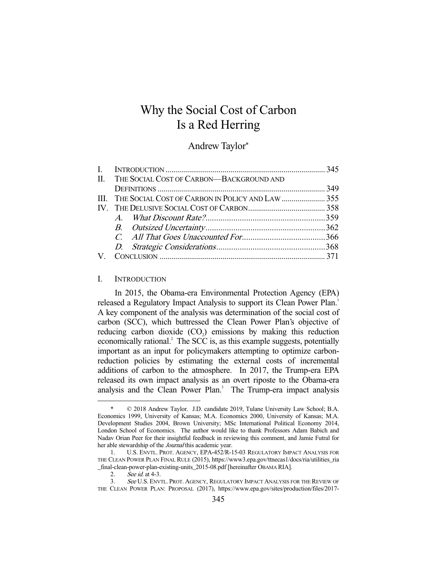# Why the Social Cost of Carbon Is a Red Herring

## Andrew Taylor\*

| II. THE SOCIAL COST OF CARBON-BACKGROUND AND<br>III. THE SOCIAL COST OF CARBON IN POLICY AND LAW  355<br>V. |
|-------------------------------------------------------------------------------------------------------------|

## I. INTRODUCTION

 In 2015, the Obama-era Environmental Protection Agency (EPA) released a Regulatory Impact Analysis to support its Clean Power Plan.<sup>1</sup> A key component of the analysis was determination of the social cost of carbon (SCC), which buttressed the Clean Power Plan's objective of reducing carbon dioxide  $(CO_2)$  emissions by making this reduction economically rational.<sup>2</sup> The SCC is, as this example suggests, potentially important as an input for policymakers attempting to optimize carbonreduction policies by estimating the external costs of incremental additions of carbon to the atmosphere. In 2017, the Trump-era EPA released its own impact analysis as an overt riposte to the Obama-era analysis and the Clean Power Plan.<sup>3</sup> The Trump-era impact analysis

 $© 2018$  Andrew Taylor. J.D. candidate 2019, Tulane University Law School; B.A. Economics 1999, University of Kansas; M.A. Economics 2000, University of Kansas; M.A. Development Studies 2004, Brown University; MSc International Political Economy 2014, London School of Economics. The author would like to thank Professors Adam Babich and Nadav Orian Peer for their insightful feedback in reviewing this comment, and Jamie Futral for her able stewardship of the *Journal* this academic year.

 <sup>1.</sup> U.S. ENVTL. PROT. AGENCY, EPA-452/R-15-03 REGULATORY IMPACT ANALYSIS FOR THE CLEAN POWER PLAN FINAL RULE (2015), https://www3.epa.gov/ttnecas1/docs/ria/utilities\_ria \_final-clean-power-plan-existing-units\_2015-08.pdf [hereinafter OBAMA RIA].

 <sup>2.</sup> See id. at 4-3.

 <sup>3.</sup> See U.S. ENVTL. PROT. AGENCY, REGULATORY IMPACT ANALYSIS FOR THE REVIEW OF THE CLEAN POWER PLAN: PROPOSAL (2017), https://www.epa.gov/sites/production/files/2017-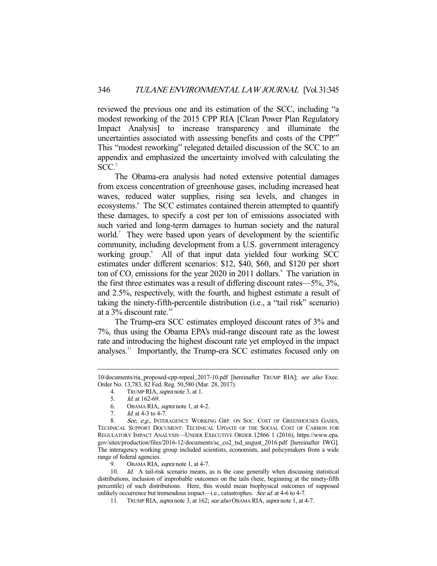reviewed the previous one and its estimation of the SCC, including "a modest reworking of the 2015 CPP RIA [Clean Power Plan Regulatory Impact Analysis] to increase transparency and illuminate the uncertainties associated with assessing benefits and costs of the CPP."4 This "modest reworking" relegated detailed discussion of the SCC to an appendix and emphasized the uncertainty involved with calculating the  $SCC<sub>2</sub>$ <sup>5</sup>

 The Obama-era analysis had noted extensive potential damages from excess concentration of greenhouse gases, including increased heat waves, reduced water supplies, rising sea levels, and changes in ecosystems.<sup>6</sup> The SCC estimates contained therein attempted to quantify these damages, to specify a cost per ton of emissions associated with such varied and long-term damages to human society and the natural world.<sup>7</sup> They were based upon years of development by the scientific community, including development from a U.S. government interagency working group.<sup>8</sup> All of that input data yielded four working SCC estimates under different scenarios: \$12, \$40, \$60, and \$120 per short ton of  $CO<sub>2</sub>$  emissions for the year 2020 in 2011 dollars.<sup>9</sup> The variation in the first three estimates was a result of differing discount rates—5%, 3%, and 2.5%, respectively, with the fourth, and highest estimate a result of taking the ninety-fifth-percentile distribution (i.e., a "tail risk" scenario) at a  $3\%$  discount rate.<sup>10</sup>

 The Trump-era SCC estimates employed discount rates of 3% and 7%, thus using the Obama EPA's mid-range discount rate as the lowest rate and introducing the highest discount rate yet employed in the impact analyses.<sup>11</sup> Importantly, the Trump-era SCC estimates focused only on

4. TRUMP RIA, supra note 3, at 1.<br>5.  $Id$  at 162-69.

<sup>10/</sup>documents/ria\_proposed-cpp-repeal\_2017-10.pdf [hereinafter TRUMP RIA]; see also Exec. Order No. 13,783, 82 Fed. Reg. 50,580 (Mar. 28, 2017).

Id. at 162-69.

 <sup>6.</sup> OBAMA RIA, supra note 1, at 4-2.

<sup>7.</sup> *Id.* at 4-3 to 4-7.

<sup>8.</sup> See, e.g., INTERAGENCY WORKING GRP. ON SOC. COST OF GREENHOUSES GASES, TECHNICAL SUPPORT DOCUMENT: TECHNICAL UPDATE OF THE SOCIAL COST OF CARBON FOR REGULATORY IMPACT ANALYSIS—UNDER EXECUTIVE ORDER 12866 1 (2016), https://www.epa. gov/sites/production/files/2016-12/documents/sc\_co2\_tsd\_august\_2016.pdf [hereinafter IWG]. The interagency working group included scientists, economists, and policymakers from a wide range of federal agencies.

<sup>9.</sup> OBAMA RIA, *supra* note 1, at 4-7.

<sup>10.</sup> *Id.* A tail-risk scenario means, as is the case generally when discussing statistical distributions, inclusion of improbable outcomes on the tails (here, beginning at the ninety-fifth percentile) of such distributions. Here, this would mean biophysical outcomes of supposed unlikely occurrence but tremendous impact—i.e., catastrophes. See id. at 4-6 to 4-7.

<sup>11.</sup> TRUMP RIA, *supra* note 3, at 162; see also OBAMA RIA, supra note 1, at 4-7.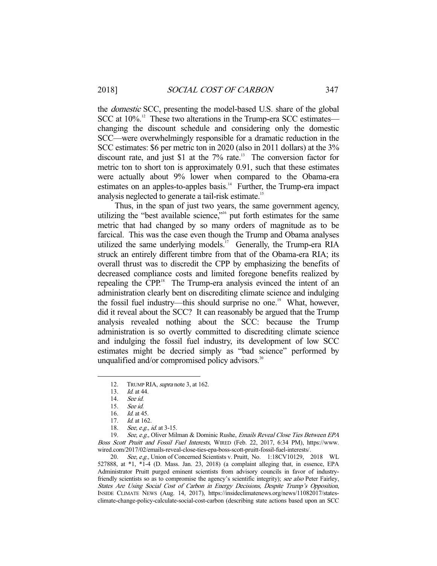the domestic SCC, presenting the model-based U.S. share of the global SCC at 10%.<sup>12</sup> These two alterations in the Trump-era SCC estimates changing the discount schedule and considering only the domestic SCC—were overwhelmingly responsible for a dramatic reduction in the SCC estimates: \$6 per metric ton in 2020 (also in 2011 dollars) at the 3% discount rate, and just \$1 at the  $7\%$  rate.<sup>13</sup> The conversion factor for metric ton to short ton is approximately 0.91, such that these estimates were actually about 9% lower when compared to the Obama-era estimates on an apples-to-apples basis. $14$  Further, the Trump-era impact analysis neglected to generate a tail-risk estimate.<sup>15</sup>

 Thus, in the span of just two years, the same government agency, utilizing the "best available science,"16 put forth estimates for the same metric that had changed by so many orders of magnitude as to be farcical. This was the case even though the Trump and Obama analyses utilized the same underlying models.<sup>17</sup> Generally, the Trump-era RIA struck an entirely different timbre from that of the Obama-era RIA; its overall thrust was to discredit the CPP by emphasizing the benefits of decreased compliance costs and limited foregone benefits realized by repealing the CPP.<sup>18</sup> The Trump-era analysis evinced the intent of an administration clearly bent on discrediting climate science and indulging the fossil fuel industry—this should surprise no one.<sup>19</sup> What, however, did it reveal about the SCC? It can reasonably be argued that the Trump analysis revealed nothing about the SCC: because the Trump administration is so overtly committed to discrediting climate science and indulging the fossil fuel industry, its development of low SCC estimates might be decried simply as "bad science" performed by unqualified and/or compromised policy advisors. $20$ 

-

19. See, e.g., Oliver Milman & Dominic Rushe, Emails Reveal Close Ties Between EPA Boss Scott Pruitt and Fossil Fuel Interests, WIRED (Feb. 22, 2017, 6:34 PM), https://www. wired.com/2017/02/emails-reveal-close-ties-epa-boss-scott-pruitt-fossil-fuel-interests/.

20. See, e.g., Union of Concerned Scientists v. Pruitt, No. 1:18CV10129, 2018 WL 527888, at \*1, \*1-4 (D. Mass. Jan. 23, 2018) (a complaint alleging that, in essence, EPA Administrator Pruitt purged eminent scientists from advisory councils in favor of industryfriendly scientists so as to compromise the agency's scientific integrity); see also Peter Fairley, States Are Using Social Cost of Carbon in Energy Decisions, Despite Trump's Opposition, INSIDE CLIMATE NEWS (Aug. 14, 2017), https://insideclimatenews.org/news/11082017/statesclimate-change-policy-calculate-social-cost-carbon (describing state actions based upon an SCC

<sup>12.</sup> TRUMP RIA, *supra* note 3, at 162.

<sup>13.</sup> *Id.* at 44.

 <sup>14.</sup> See id.

 <sup>15.</sup> See id.

 <sup>16.</sup> Id. at 45.

<sup>17.</sup> *Id.* at 162.

<sup>18.</sup> See, e.g., id. at 3-15.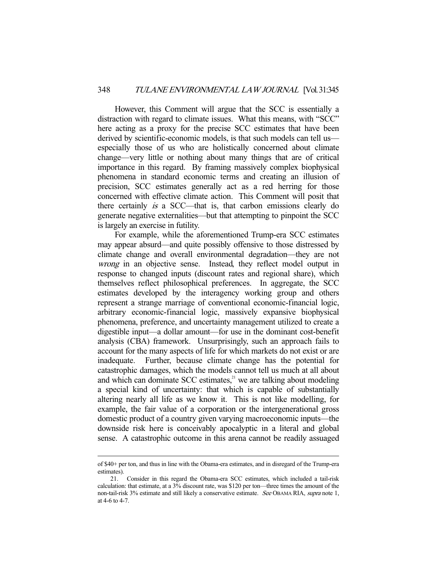However, this Comment will argue that the SCC is essentially a distraction with regard to climate issues. What this means, with "SCC" here acting as a proxy for the precise SCC estimates that have been derived by scientific-economic models, is that such models can tell us especially those of us who are holistically concerned about climate change—very little or nothing about many things that are of critical importance in this regard. By framing massively complex biophysical phenomena in standard economic terms and creating an illusion of precision, SCC estimates generally act as a red herring for those concerned with effective climate action. This Comment will posit that there certainly is a SCC—that is, that carbon emissions clearly do generate negative externalities—but that attempting to pinpoint the SCC is largely an exercise in futility.

 For example, while the aforementioned Trump-era SCC estimates may appear absurd—and quite possibly offensive to those distressed by climate change and overall environmental degradation—they are not wrong in an objective sense. Instead, they reflect model output in response to changed inputs (discount rates and regional share), which themselves reflect philosophical preferences. In aggregate, the SCC estimates developed by the interagency working group and others represent a strange marriage of conventional economic-financial logic, arbitrary economic-financial logic, massively expansive biophysical phenomena, preference, and uncertainty management utilized to create a digestible input—a dollar amount—for use in the dominant cost-benefit analysis (CBA) framework. Unsurprisingly, such an approach fails to account for the many aspects of life for which markets do not exist or are inadequate. Further, because climate change has the potential for catastrophic damages, which the models cannot tell us much at all about and which can dominate  $SCC$  estimates, $2<sup>1</sup>$  we are talking about modeling a special kind of uncertainty: that which is capable of substantially altering nearly all life as we know it. This is not like modelling, for example, the fair value of a corporation or the intergenerational gross domestic product of a country given varying macroeconomic inputs—the downside risk here is conceivably apocalyptic in a literal and global sense. A catastrophic outcome in this arena cannot be readily assuaged

of \$40+ per ton, and thus in line with the Obama-era estimates, and in disregard of the Trump-era estimates).

 <sup>21.</sup> Consider in this regard the Obama-era SCC estimates, which included a tail-risk calculation: that estimate, at a 3% discount rate, was \$120 per ton—three times the amount of the non-tail-risk 3% estimate and still likely a conservative estimate. See OBAMA RIA, supra note 1, at 4-6 to 4-7.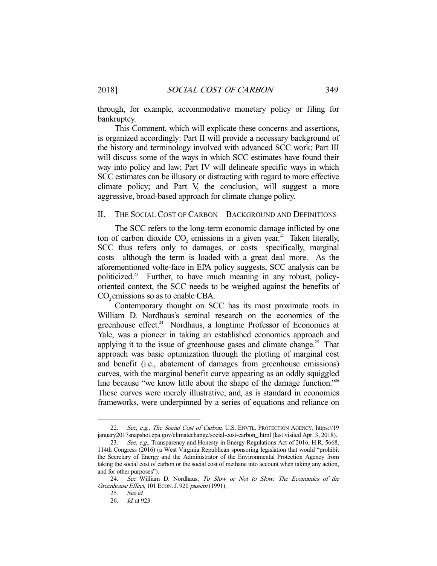through, for example, accommodative monetary policy or filing for bankruptcy.

 This Comment, which will explicate these concerns and assertions, is organized accordingly: Part II will provide a necessary background of the history and terminology involved with advanced SCC work; Part III will discuss some of the ways in which SCC estimates have found their way into policy and law; Part IV will delineate specific ways in which SCC estimates can be illusory or distracting with regard to more effective climate policy; and Part V, the conclusion, will suggest a more aggressive, broad-based approach for climate change policy.

#### II. THE SOCIAL COST OF CARBON—BACKGROUND AND DEFINITIONS

 The SCC refers to the long-term economic damage inflicted by one ton of carbon dioxide  $CO_2$  emissions in a given year.<sup>22</sup> Taken literally, SCC thus refers only to damages, or costs—specifically, marginal costs—although the term is loaded with a great deal more. As the aforementioned volte-face in EPA policy suggests, SCC analysis can be politicized.23 Further, to have much meaning in any robust, policyoriented context, the SCC needs to be weighed against the benefits of CO<sub>2</sub> emissions so as to enable CBA.

 Contemporary thought on SCC has its most proximate roots in William D. Nordhaus's seminal research on the economics of the greenhouse effect.<sup>24</sup> Nordhaus, a longtime Professor of Economics at Yale, was a pioneer in taking an established economics approach and applying it to the issue of greenhouse gases and climate change.<sup>25</sup> That approach was basic optimization through the plotting of marginal cost and benefit (i.e., abatement of damages from greenhouse emissions) curves, with the marginal benefit curve appearing as an oddly squiggled line because "we know little about the shape of the damage function."<sup>26</sup> These curves were merely illustrative, and, as is standard in economics frameworks, were underpinned by a series of equations and reliance on

<sup>22.</sup> See, e.g., The Social Cost of Carbon, U.S. ENVTL. PROTECTION AGENCY, https://19 january2017snapshot.epa.gov/climatechange/social-cost-carbon\_.html (last visited Apr. 3, 2018).

<sup>23.</sup> See, e.g., Transparency and Honesty in Energy Regulations Act of 2016, H.R. 5668, 114th Congress (2016) (a West Virginia Republican sponsoring legislation that would "prohibit the Secretary of Energy and the Administrator of the Environmental Protection Agency from taking the social cost of carbon or the social cost of methane into account when taking any action, and for other purposes").

 <sup>24.</sup> See William D. Nordhaus, To Slow or Not to Slow: The Economics of the Greenhouse Effect, 101 ECON. J. 920 passim (1991).

 <sup>25.</sup> See id.

 <sup>26.</sup> Id. at 923.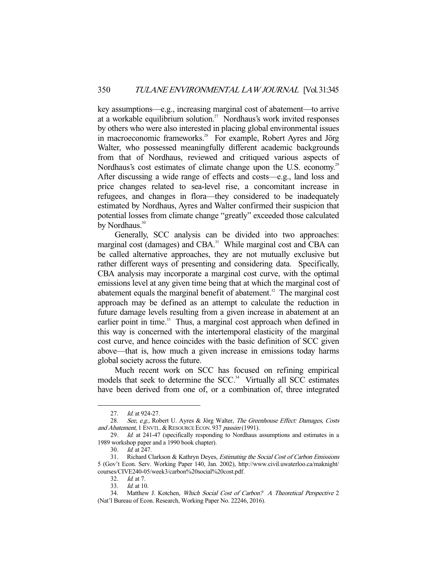key assumptions—e.g., increasing marginal cost of abatement—to arrive at a workable equilibrium solution.<sup>27</sup> Nordhaus's work invited responses by others who were also interested in placing global environmental issues in macroeconomic frameworks.<sup>28</sup> For example, Robert Ayres and Jörg Walter, who possessed meaningfully different academic backgrounds from that of Nordhaus, reviewed and critiqued various aspects of Nordhaus's cost estimates of climate change upon the U.S. economy.<sup>29</sup> After discussing a wide range of effects and costs—e.g., land loss and price changes related to sea-level rise, a concomitant increase in refugees, and changes in flora—they considered to be inadequately estimated by Nordhaus, Ayres and Walter confirmed their suspicion that potential losses from climate change "greatly" exceeded those calculated by Nordhaus.<sup>30</sup>

 Generally, SCC analysis can be divided into two approaches: marginal cost (damages) and CBA.<sup>31</sup> While marginal cost and CBA can be called alternative approaches, they are not mutually exclusive but rather different ways of presenting and considering data. Specifically, CBA analysis may incorporate a marginal cost curve, with the optimal emissions level at any given time being that at which the marginal cost of abatement equals the marginal benefit of abatement. $32$  The marginal cost approach may be defined as an attempt to calculate the reduction in future damage levels resulting from a given increase in abatement at an earlier point in time.<sup>33</sup> Thus, a marginal cost approach when defined in this way is concerned with the intertemporal elasticity of the marginal cost curve, and hence coincides with the basic definition of SCC given above—that is, how much a given increase in emissions today harms global society across the future.

 Much recent work on SCC has focused on refining empirical models that seek to determine the  $SCC<sup>34</sup>$  Virtually all SCC estimates have been derived from one of, or a combination of, three integrated

<sup>27.</sup> *Id.* at 924-27.

<sup>28.</sup> See, e.g., Robert U. Ayres & Jörg Walter, The Greenhouse Effect: Damages, Costs and Abatement, 1 ENVTL. & RESOURCE ECON. 937 passim (1991).

<sup>29.</sup> Id. at 241-47 (specifically responding to Nordhaus assumptions and estimates in a 1989 workshop paper and a 1990 book chapter).

 <sup>30.</sup> Id. at 247.

<sup>31.</sup> Richard Clarkson & Kathryn Deyes, *Estimating the Social Cost of Carbon Emissions* 5 (Gov't Econ. Serv. Working Paper 140, Jan. 2002), http://www.civil.uwaterloo.ca/maknight/ courses/CIVE240-05/week3/carbon%20social%20cost.pdf.

 <sup>32.</sup> Id. at 7.

 <sup>33.</sup> Id. at 10.

 <sup>34.</sup> Matthew J. Kotchen, Which Social Cost of Carbon? A Theoretical Perspective 2 (Nat'l Bureau of Econ. Research, Working Paper No. 22246, 2016).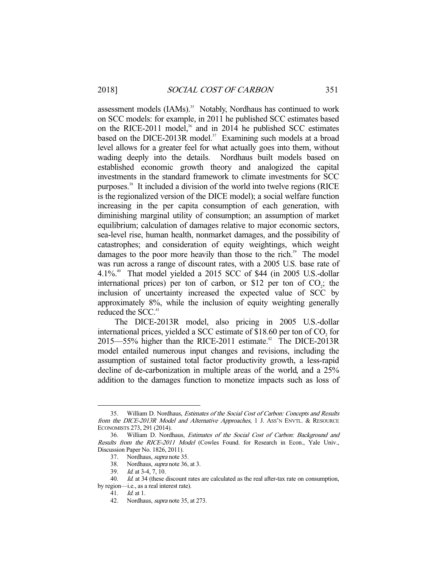assessment models (IAMs).<sup>35</sup> Notably, Nordhaus has continued to work on SCC models: for example, in 2011 he published SCC estimates based on the RICE-2011 model, $36$  and in 2014 he published SCC estimates based on the DICE-2013R model.<sup>37</sup> Examining such models at a broad level allows for a greater feel for what actually goes into them, without wading deeply into the details. Nordhaus built models based on established economic growth theory and analogized the capital investments in the standard framework to climate investments for SCC purposes.38 It included a division of the world into twelve regions (RICE is the regionalized version of the DICE model); a social welfare function increasing in the per capita consumption of each generation, with diminishing marginal utility of consumption; an assumption of market equilibrium; calculation of damages relative to major economic sectors, sea-level rise, human health, nonmarket damages, and the possibility of catastrophes; and consideration of equity weightings, which weight damages to the poor more heavily than those to the rich. $39$  The model was run across a range of discount rates, with a 2005 U.S. base rate of 4.1%.<sup>40</sup> That model yielded a 2015 SCC of \$44 (in 2005 U.S.-dollar international prices) per ton of carbon, or \$12 per ton of  $CO<sub>2</sub>$ ; the inclusion of uncertainty increased the expected value of SCC by approximately 8%, while the inclusion of equity weighting generally reduced the SCC.<sup>41</sup>

 The DICE-2013R model, also pricing in 2005 U.S.-dollar international prices, yielded a SCC estimate of \$18.60 per ton of  $CO<sub>2</sub>$  for  $2015 - 55\%$  higher than the RICE-2011 estimate.<sup>42</sup> The DICE-2013R model entailed numerous input changes and revisions, including the assumption of sustained total factor productivity growth, a less-rapid decline of de-carbonization in multiple areas of the world, and a 25% addition to the damages function to monetize impacts such as loss of

 <sup>35.</sup> William D. Nordhaus, Estimates of the Social Cost of Carbon: Concepts and Results from the DICE-2013R Model and Alternative Approaches, 1 J. ASS'N ENVTL. & RESOURCE ECONOMISTS 273, 291 (2014).

<sup>36.</sup> William D. Nordhaus, *Estimates of the Social Cost of Carbon: Background and* Results from the RICE-2011 Model (Cowles Found. for Research in Econ., Yale Univ., Discussion Paper No. 1826, 2011).

 <sup>37.</sup> Nordhaus, supra note 35.

 <sup>38.</sup> Nordhaus, supra note 36, at 3.

 <sup>39.</sup> Id. at 3-4, 7, 10.

<sup>40.</sup> *Id.* at 34 (these discount rates are calculated as the real after-tax rate on consumption,

by region—i.e., as a real interest rate).

 <sup>41.</sup> Id. at 1.

<sup>42.</sup> Nordhaus, *supra* note 35, at 273.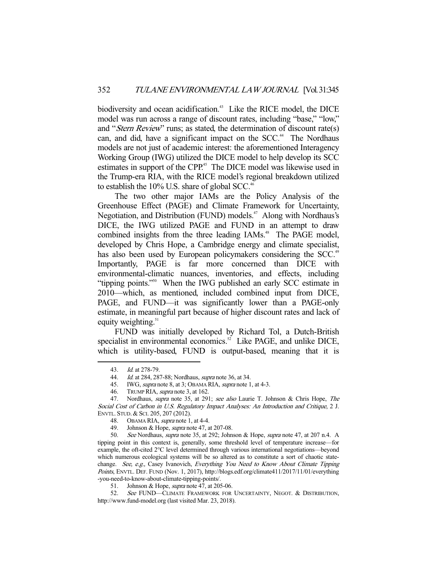biodiversity and ocean acidification.<sup>43</sup> Like the RICE model, the DICE model was run across a range of discount rates, including "base," "low," and "*Stern Review*" runs; as stated, the determination of discount rate(s) can, and did, have a significant impact on the  $SCC<sup>44</sup>$ . The Nordhaus models are not just of academic interest: the aforementioned Interagency Working Group (IWG) utilized the DICE model to help develop its SCC estimates in support of the CPP.<sup>45</sup> The DICE model was likewise used in the Trump-era RIA, with the RICE model's regional breakdown utilized to establish the  $10\%$  U.S. share of global SCC.<sup>46</sup>

 The two other major IAMs are the Policy Analysis of the Greenhouse Effect (PAGE) and Climate Framework for Uncertainty, Negotiation, and Distribution (FUND) models.<sup>47</sup> Along with Nordhaus's DICE, the IWG utilized PAGE and FUND in an attempt to draw combined insights from the three leading IAMs.<sup>48</sup> The PAGE model, developed by Chris Hope, a Cambridge energy and climate specialist, has also been used by European policymakers considering the SCC.<sup>49</sup> Importantly, PAGE is far more concerned than DICE with environmental-climatic nuances, inventories, and effects, including "tipping points."50 When the IWG published an early SCC estimate in 2010—which, as mentioned, included combined input from DICE, PAGE, and FUND—it was significantly lower than a PAGE-only estimate, in meaningful part because of higher discount rates and lack of equity weighting. $51$ 

 FUND was initially developed by Richard Tol, a Dutch-British specialist in environmental economics. $52$  Like PAGE, and unlike DICE, which is utility-based, FUND is output-based, meaning that it is

 <sup>43.</sup> Id. at 278-79.

<sup>44.</sup> Id. at 284, 287-88; Nordhaus, *supra* note 36, at 34.

<sup>45.</sup> IWG, *supra* note 8, at 3; OBAMA RIA, *supra* note 1, at 4-3.

<sup>46.</sup> TRUMP RIA, *supra* note 3, at 162.

 <sup>47.</sup> Nordhaus, supra note 35, at 291; see also Laurie T. Johnson & Chris Hope, The Social Cost of Carbon in U.S. Regulatory Impact Analyses: An Introduction and Critique, 2 J. ENVTL. STUD. & SCI. 205, 207 (2012).

<sup>48.</sup> OBAMA RIA, *supra* note 1, at 4-4.

 <sup>49.</sup> Johnson & Hope, supra note 47, at 207-08.

 <sup>50.</sup> See Nordhaus, supra note 35, at 292; Johnson & Hope, supra note 47, at 207 n.4. A tipping point in this context is, generally, some threshold level of temperature increase—for example, the oft-cited 2°C level determined through various international negotiations—beyond which numerous ecological systems will be so altered as to constitute a sort of chaotic statechange. See, e.g., Casey Ivanovich, Everything You Need to Know About Climate Tipping Points, ENVTL. DEF. FUND (Nov. 1, 2017), http://blogs.edf.org/climate411/2017/11/01/everything -you-need-to-know-about-climate-tipping-points/.

 <sup>51.</sup> Johnson & Hope, supra note 47, at 205-06.

<sup>52.</sup> See FUND—CLIMATE FRAMEWORK FOR UNCERTAINTY, NEGOT. & DISTRIBUTION, http://www.fund-model.org (last visited Mar. 23, 2018).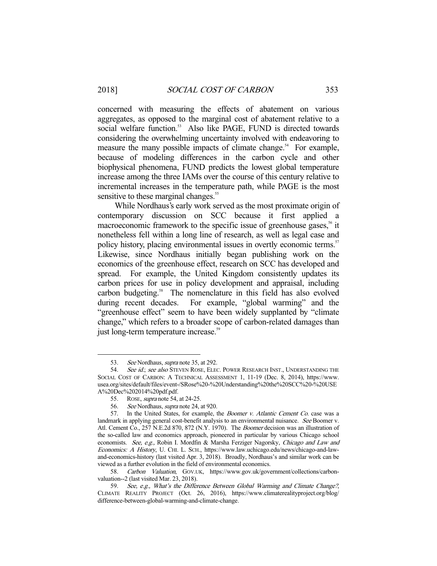concerned with measuring the effects of abatement on various aggregates, as opposed to the marginal cost of abatement relative to a social welfare function.<sup>53</sup> Also like PAGE, FUND is directed towards considering the overwhelming uncertainty involved with endeavoring to measure the many possible impacts of climate change.<sup>54</sup> For example, because of modeling differences in the carbon cycle and other biophysical phenomena, FUND predicts the lowest global temperature increase among the three IAMs over the course of this century relative to incremental increases in the temperature path, while PAGE is the most sensitive to these marginal changes.<sup>55</sup>

 While Nordhaus's early work served as the most proximate origin of contemporary discussion on SCC because it first applied a macroeconomic framework to the specific issue of greenhouse gases,<sup>56</sup> it nonetheless fell within a long line of research, as well as legal case and policy history, placing environmental issues in overtly economic terms.<sup>57</sup> Likewise, since Nordhaus initially began publishing work on the economics of the greenhouse effect, research on SCC has developed and spread. For example, the United Kingdom consistently updates its carbon prices for use in policy development and appraisal, including carbon budgeting.<sup>58</sup> The nomenclature in this field has also evolved during recent decades. For example, "global warming" and the "greenhouse effect" seem to have been widely supplanted by "climate change," which refers to a broader scope of carbon-related damages than just long-term temperature increase.<sup>59</sup>

<sup>53.</sup> See Nordhaus, *supra* note 35, at 292.

<sup>54.</sup> See id.; see also STEVEN ROSE, ELEC. POWER RESEARCH INST., UNDERSTANDING THE SOCIAL COST OF CARBON: A TECHNICAL ASSESSMENT 1, 11-19 (Dec. 8, 2014), https://www. usea.org/sites/default/files/event-/SRose%20-%20Understanding%20the%20SCC%20-%20USE A%20Dec%202014%20pdf.pdf.

 <sup>55.</sup> ROSE, supra note 54, at 24-25.

 <sup>56.</sup> See Nordhaus, supra note 24, at 920.

 <sup>57.</sup> In the United States, for example, the Boomer v. Atlantic Cement Co. case was a landmark in applying general cost-benefit analysis to an environmental nuisance. See Boomer v. Atl. Cement Co., 257 N.E.2d 870, 872 (N.Y. 1970). The *Boomer* decision was an illustration of the so-called law and economics approach, pioneered in particular by various Chicago school economists. See, e.g., Robin I. Mordfin & Marsha Ferziger Nagorsky, Chicago and Law and Economics: A History, U. CHI. L. SCH., https://www.law.uchicago.edu/news/chicago-and-lawand-economics-history (last visited Apr. 3, 2018). Broadly, Nordhaus's and similar work can be viewed as a further evolution in the field of environmental economics.

<sup>58.</sup> Carbon Valuation, GOV.UK, https://www.gov.uk/government/collections/carbonvaluation--2 (last visited Mar. 23, 2018).

 <sup>59.</sup> See, e.g., What's the Difference Between Global Warming and Climate Change?, CLIMATE REALITY PROJECT (Oct. 26, 2016), https://www.climaterealityproject.org/blog/ difference-between-global-warming-and-climate-change.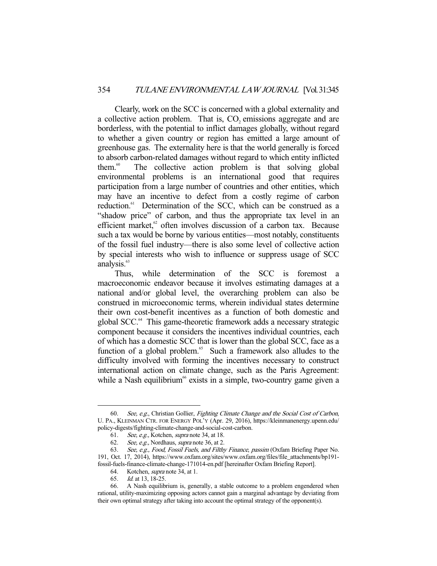Clearly, work on the SCC is concerned with a global externality and a collective action problem. That is, CO<sub>2</sub> emissions aggregate and are borderless, with the potential to inflict damages globally, without regard to whether a given country or region has emitted a large amount of greenhouse gas. The externality here is that the world generally is forced to absorb carbon-related damages without regard to which entity inflicted them.60 The collective action problem is that solving global environmental problems is an international good that requires participation from a large number of countries and other entities, which may have an incentive to defect from a costly regime of carbon reduction.<sup>61</sup> Determination of the SCC, which can be construed as a "shadow price" of carbon, and thus the appropriate tax level in an efficient market.<sup>62</sup> often involves discussion of a carbon tax. Because such a tax would be borne by various entities—most notably, constituents of the fossil fuel industry—there is also some level of collective action by special interests who wish to influence or suppress usage of SCC analysis.<sup>63</sup>

 Thus, while determination of the SCC is foremost a macroeconomic endeavor because it involves estimating damages at a national and/or global level, the overarching problem can also be construed in microeconomic terms, wherein individual states determine their own cost-benefit incentives as a function of both domestic and global SCC.64 This game-theoretic framework adds a necessary strategic component because it considers the incentives individual countries, each of which has a domestic SCC that is lower than the global SCC, face as a function of a global problem.<sup>65</sup> Such a framework also alludes to the difficulty involved with forming the incentives necessary to construct international action on climate change, such as the Paris Agreement: while a Nash equilibrium<sup> $66$ </sup> exists in a simple, two-country game given a

 <sup>60.</sup> See, e.g., Christian Gollier, Fighting Climate Change and the Social Cost of Carbon, U. PA., KLEINMAN CTR. FOR ENERGY POL'Y (Apr. 29, 2016), https://kleinmanenergy.upenn.edu/ policy-digests/fighting-climate-change-and-social-cost-carbon.

 <sup>61.</sup> See, e.g., Kotchen, supra note 34, at 18.

 <sup>62.</sup> See, e.g., Nordhaus, supra note 36, at 2.

<sup>63.</sup> See, e.g., Food, Fossil Fuels, and Filthy Finance, passim (Oxfam Briefing Paper No. 191, Oct. 17, 2014), https://www.oxfam.org/sites/www.oxfam.org/files/file\_attachments/bp191 fossil-fuels-finance-climate-change-171014-en.pdf [hereinafter Oxfam Briefing Report].

<sup>64.</sup> Kotchen, *supra* note 34, at 1.

 <sup>65.</sup> Id. at 13, 18-25.

 <sup>66.</sup> A Nash equilibrium is, generally, a stable outcome to a problem engendered when rational, utility-maximizing opposing actors cannot gain a marginal advantage by deviating from their own optimal strategy after taking into account the optimal strategy of the opponent(s).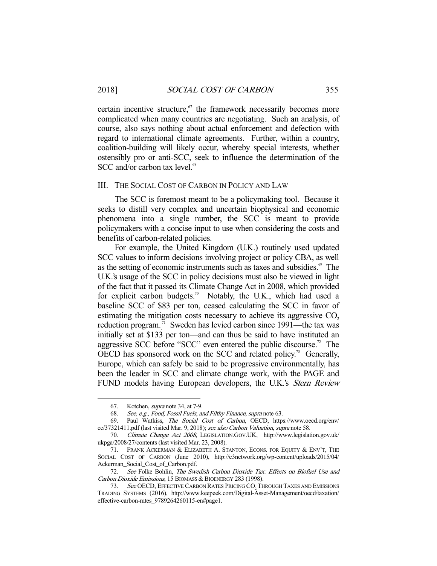certain incentive structure, $67$  the framework necessarily becomes more complicated when many countries are negotiating. Such an analysis, of course, also says nothing about actual enforcement and defection with regard to international climate agreements. Further, within a country, coalition-building will likely occur, whereby special interests, whether ostensibly pro or anti-SCC, seek to influence the determination of the  $SCC$  and/or carbon tax level. $68$ 

#### III. THE SOCIAL COST OF CARBON IN POLICY AND LAW

 The SCC is foremost meant to be a policymaking tool. Because it seeks to distill very complex and uncertain biophysical and economic phenomena into a single number, the SCC is meant to provide policymakers with a concise input to use when considering the costs and benefits of carbon-related policies.

 For example, the United Kingdom (U.K.) routinely used updated SCC values to inform decisions involving project or policy CBA, as well as the setting of economic instruments such as taxes and subsidies.<sup>69</sup> The U.K.'s usage of the SCC in policy decisions must also be viewed in light of the fact that it passed its Climate Change Act in 2008, which provided for explicit carbon budgets.<sup>70</sup> Notably, the U.K., which had used a baseline SCC of \$83 per ton, ceased calculating the SCC in favor of estimating the mitigation costs necessary to achieve its aggressive CO<sub>2</sub>. reduction program.<sup>71</sup> Sweden has levied carbon since 1991—the tax was initially set at \$133 per ton—and can thus be said to have instituted an aggressive SCC before "SCC" even entered the public discourse.<sup>72</sup> The OECD has sponsored work on the SCC and related policy.<sup>73</sup> Generally, Europe, which can safely be said to be progressive environmentally, has been the leader in SCC and climate change work, with the PAGE and FUND models having European developers, the U.K.'s *Stern Review* 

 <sup>67.</sup> Kotchen, supra note 34, at 7-9.

 <sup>68.</sup> See, e.g., Food, Fossil Fuels, and Filthy Finance, supra note 63.

 <sup>69.</sup> Paul Watkiss, The Social Cost of Carbon, OECD, https://www.oecd.org/env/ cc/37321411.pdf (last visited Mar. 9, 2018); see also Carbon Valuation, supra note 58.

 <sup>70.</sup> Climate Change Act 2008, LEGISLATION.GOV.UK, http://www.legislation.gov.uk/ ukpga/2008/27/contents (last visited Mar. 23, 2008).

 <sup>71.</sup> FRANK ACKERMAN & ELIZABETH A. STANTON, ECONS. FOR EQUITY & ENV'T, THE SOCIAL COST OF CARBON (June 2010), http://e3network.org/wp-content/uploads/2015/04/ Ackerman\_Social\_Cost\_of\_Carbon.pdf.

<sup>72.</sup> See Folke Bohlin, The Swedish Carbon Dioxide Tax: Effects on Biofuel Use and Carbon Dioxide Emissions, 15 BIOMASS & BIOENERGY 283 (1998).

<sup>73.</sup> See OECD, EFFECTIVE CARBON RATES PRICING CO<sub>2</sub> THROUGH TAXES AND EMISSIONS TRADING SYSTEMS (2016), http://www.keepeek.com/Digital-Asset-Management/oecd/taxation/ effective-carbon-rates\_9789264260115-en#page1.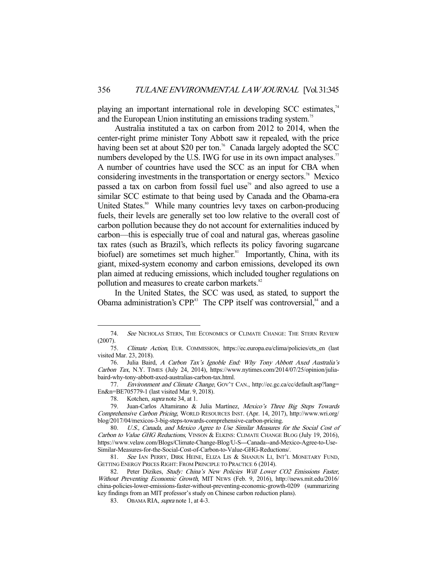playing an important international role in developing SCC estimates,<sup>74</sup> and the European Union instituting an emissions trading system.<sup>75</sup>

 Australia instituted a tax on carbon from 2012 to 2014, when the center-right prime minister Tony Abbott saw it repealed, with the price having been set at about \$20 per ton.<sup>76</sup> Canada largely adopted the SCC numbers developed by the U.S. IWG for use in its own impact analyses.<sup>77</sup> A number of countries have used the SCC as an input for CBA when considering investments in the transportation or energy sectors.<sup>78</sup> Mexico passed a tax on carbon from fossil fuel use<sup> $\sigma$ </sup> and also agreed to use a similar SCC estimate to that being used by Canada and the Obama-era United States.<sup>80</sup> While many countries levy taxes on carbon-producing fuels, their levels are generally set too low relative to the overall cost of carbon pollution because they do not account for externalities induced by carbon—this is especially true of coal and natural gas, whereas gasoline tax rates (such as Brazil's, which reflects its policy favoring sugarcane biofuel) are sometimes set much higher.<sup>81</sup> Importantly, China, with its giant, mixed-system economy and carbon emissions, developed its own plan aimed at reducing emissions, which included tougher regulations on pollution and measures to create carbon markets.<sup>82</sup>

 In the United States, the SCC was used, as stated, to support the Obama administration's CPP.<sup>83</sup> The CPP itself was controversial, $84$  and a

<sup>74.</sup> See NICHOLAS STERN, THE ECONOMICS OF CLIMATE CHANGE: THE STERN REVIEW (2007).

 <sup>75.</sup> Climate Action, EUR. COMMISSION, https://ec.europa.eu/clima/policies/ets\_en (last visited Mar. 23, 2018).

 <sup>76.</sup> Julia Baird, A Carbon Tax's Ignoble End: Why Tony Abbott Axed Australia's Carbon Tax, N.Y. TIMES (July 24, 2014), https://www.nytimes.com/2014/07/25/opinion/juliabaird-why-tony-abbott-axed-australias-carbon-tax.html.

 <sup>77.</sup> Environment and Climate Change, GOV'T CAN., http://ec.gc.ca/cc/default.asp?lang= En&n=BE705779-1 (last visited Mar. 9, 2018).

 <sup>78.</sup> Kotchen, supra note 34, at 1.

 <sup>79.</sup> Juan-Carlos Altamirano & Julia Martínez, Mexico's Three Big Steps Towards Comprehensive Carbon Pricing, WORLD RESOURCES INST. (Apr. 14, 2017), http://www.wri.org/ blog/2017/04/mexicos-3-big-steps-towards-comprehensive-carbon-pricing.

 <sup>80.</sup> U.S., Canada, and Mexico Agree to Use Similar Measures for the Social Cost of Carbon to Value GHG Reductions, VINSON & ELKINS: CLIMATE CHANGE BLOG (July 19, 2016), https://www.velaw.com/Blogs/Climate-Change-Blog/U-S---Canada--and-Mexico-Agree-to-Use-Similar-Measures-for-the-Social-Cost-of-Carbon-to-Value-GHG-Reductions/.

<sup>81.</sup> See IAN PERRY, DIRK HEINE, ELIZA LIS & SHANJUN LI, INT'L MONETARY FUND, GETTING ENERGY PRICES RIGHT: FROM PRINCIPLE TO PRACTICE 6 (2014).

<sup>82.</sup> Peter Dizikes, Study: China's New Policies Will Lower CO2 Emissions Faster, Without Preventing Economic Growth, MIT NEWS (Feb. 9, 2016), http://news.mit.edu/2016/ china-policies-lower-emissions-faster-without-preventing-economic-growth-0209 (summarizing key findings from an MIT professor's study on Chinese carbon reduction plans).

<sup>83.</sup> OBAMA RIA, *supra* note 1, at 4-3.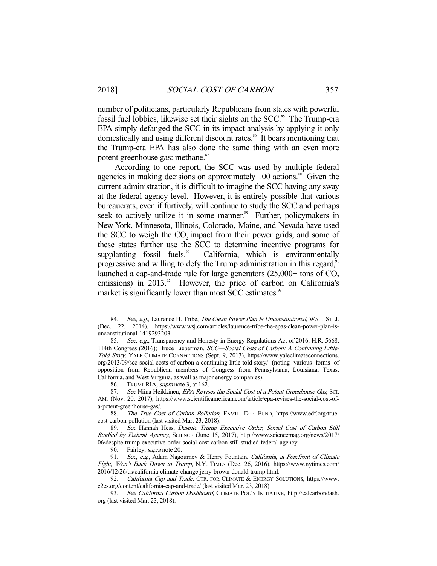number of politicians, particularly Republicans from states with powerful fossil fuel lobbies, likewise set their sights on the SCC.<sup>85</sup> The Trump-era EPA simply defanged the SCC in its impact analysis by applying it only domestically and using different discount rates.<sup>86</sup> It bears mentioning that the Trump-era EPA has also done the same thing with an even more potent greenhouse gas: methane.<sup>87</sup>

 According to one report, the SCC was used by multiple federal agencies in making decisions on approximately 100 actions.<sup>88</sup> Given the current administration, it is difficult to imagine the SCC having any sway at the federal agency level. However, it is entirely possible that various bureaucrats, even if furtively, will continue to study the SCC and perhaps seek to actively utilize it in some manner.<sup>89</sup> Further, policymakers in New York, Minnesota, Illinois, Colorado, Maine, and Nevada have used the SCC to weigh the CO<sub>2</sub> impact from their power grids, and some of these states further use the SCC to determine incentive programs for supplanting fossil fuels.<sup>90</sup> California, which is environmentally progressive and willing to defy the Trump administration in this regard, $91$ launched a cap-and-trade rule for large generators  $(25,000+)$  tons of CO<sub>2</sub>. emissions) in  $2013.^{\circ}$  However, the price of carbon on California's market is significantly lower than most SCC estimates.<sup>93</sup>

<sup>84.</sup> See, e.g., Laurence H. Tribe, The Clean Power Plan Is Unconstitutional, WALL St. J. (Dec. 22, 2014), https://www.wsj.com/articles/laurence-tribe-the-epas-clean-power-plan-isunconstitutional-1419293203.

<sup>85.</sup> See, e.g., Transparency and Honesty in Energy Regulations Act of 2016, H.R. 5668, 114th Congress (2016); Bruce Lieberman, SCC—Social Costs of Carbon: A Continuing Little-Told Story, YALE CLIMATE CONNECTIONS (Sept. 9, 2013), https://www.yaleclimateconnections. org/2013/09/scc-social-costs-of-carbon-a-continuing-little-told-story/ (noting various forms of opposition from Republican members of Congress from Pennsylvania, Louisiana, Texas, California, and West Virginia, as well as major energy companies).

<sup>86.</sup> TRUMP RIA, *supra* note 3, at 162.<br>87. See Niina Heikkinen, *EPA Revis* 

See Niina Heikkinen, EPA Revises the Social Cost of a Potent Greenhouse Gas, Sci. AM. (Nov. 20, 2017), https://www.scientificamerican.com/article/epa-revises-the-social-cost-ofa-potent-greenhouse-gas/.

<sup>88.</sup> The True Cost of Carbon Pollution, ENVTL. DEF. FUND, https://www.edf.org/truecost-carbon-pollution (last visited Mar. 23, 2018).

 <sup>89.</sup> See Hannah Hess, Despite Trump Executive Order, Social Cost of Carbon Still Studied by Federal Agency, SCIENCE (June 15, 2017), http://www.sciencemag.org/news/2017/ 06/despite-trump-executive-order-social-cost-carbon-still-studied-federal-agency.

<sup>90.</sup> Fairley, *supra* note 20.

<sup>91.</sup> See, e.g., Adam Nagourney & Henry Fountain, California, at Forefront of Climate Fight, Won't Back Down to Trump, N.Y. TIMES (Dec. 26, 2016), https://www.nytimes.com/ 2016/12/26/us/california-climate-change-jerry-brown-donald-trump.html.

<sup>92.</sup> California Cap and Trade, CTR. FOR CLIMATE & ENERGY SOLUTIONS, https://www. c2es.org/content/california-cap-and-trade/ (last visited Mar. 23, 2018).

<sup>93.</sup> See California Carbon Dashboard, CLIMATE POL'Y INITIATIVE, http://calcarbondash. org (last visited Mar. 23, 2018).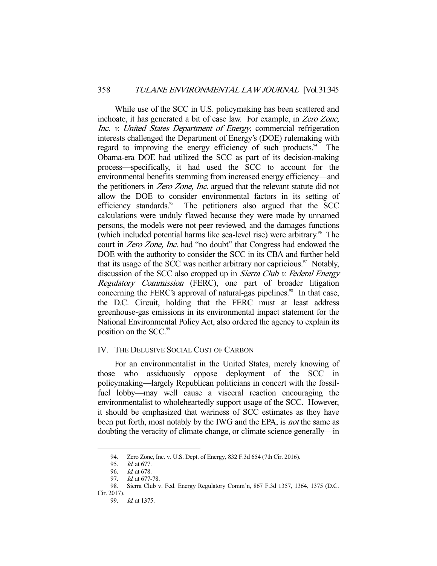While use of the SCC in U.S. policymaking has been scattered and inchoate, it has generated a bit of case law. For example, in Zero Zone, Inc. v. United States Department of Energy, commercial refrigeration interests challenged the Department of Energy's (DOE) rulemaking with regard to improving the energy efficiency of such products. $94$  The Obama-era DOE had utilized the SCC as part of its decision-making process—specifically, it had used the SCC to account for the environmental benefits stemming from increased energy efficiency—and the petitioners in Zero Zone, Inc. argued that the relevant statute did not allow the DOE to consider environmental factors in its setting of efficiency standards. $95$  The petitioners also argued that the SCC calculations were unduly flawed because they were made by unnamed persons, the models were not peer reviewed, and the damages functions (which included potential harms like sea-level rise) were arbitrary.<sup>96</sup> The court in Zero Zone, Inc. had "no doubt" that Congress had endowed the DOE with the authority to consider the SCC in its CBA and further held that its usage of the SCC was neither arbitrary nor capricious. $\frac{97}{10}$  Notably, discussion of the SCC also cropped up in *Sierra Club v. Federal Energy* Regulatory Commission (FERC), one part of broader litigation concerning the FERC's approval of natural-gas pipelines.<sup>98</sup> In that case, the D.C. Circuit, holding that the FERC must at least address greenhouse-gas emissions in its environmental impact statement for the National Environmental Policy Act, also ordered the agency to explain its position on the SCC.<sup>99</sup>

## IV. THE DELUSIVE SOCIAL COST OF CARBON

 For an environmentalist in the United States, merely knowing of those who assiduously oppose deployment of the SCC in policymaking—largely Republican politicians in concert with the fossilfuel lobby—may well cause a visceral reaction encouraging the environmentalist to wholeheartedly support usage of the SCC. However, it should be emphasized that wariness of SCC estimates as they have been put forth, most notably by the IWG and the EPA, is *not* the same as doubting the veracity of climate change, or climate science generally—in

 <sup>94.</sup> Zero Zone, Inc. v. U.S. Dept. of Energy, 832 F.3d 654 (7th Cir. 2016).

 <sup>95.</sup> Id. at 677.

<sup>96.</sup> *Id.* at 678.<br>97. *Id.* at 677-

Id. at 677-78.

 <sup>98.</sup> Sierra Club v. Fed. Energy Regulatory Comm'n, 867 F.3d 1357, 1364, 1375 (D.C. Cir. 2017).

 <sup>99.</sup> Id. at 1375.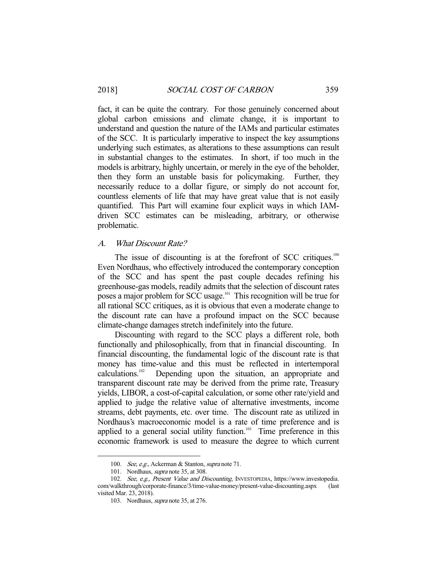fact, it can be quite the contrary. For those genuinely concerned about global carbon emissions and climate change, it is important to understand and question the nature of the IAMs and particular estimates of the SCC. It is particularly imperative to inspect the key assumptions underlying such estimates, as alterations to these assumptions can result in substantial changes to the estimates. In short, if too much in the models is arbitrary, highly uncertain, or merely in the eye of the beholder, then they form an unstable basis for policymaking. Further, they necessarily reduce to a dollar figure, or simply do not account for, countless elements of life that may have great value that is not easily quantified. This Part will examine four explicit ways in which IAMdriven SCC estimates can be misleading, arbitrary, or otherwise problematic.

#### A. What Discount Rate?

The issue of discounting is at the forefront of SCC critiques.<sup>100</sup> Even Nordhaus, who effectively introduced the contemporary conception of the SCC and has spent the past couple decades refining his greenhouse-gas models, readily admits that the selection of discount rates poses a major problem for SCC usage.<sup>101</sup> This recognition will be true for all rational SCC critiques, as it is obvious that even a moderate change to the discount rate can have a profound impact on the SCC because climate-change damages stretch indefinitely into the future.

 Discounting with regard to the SCC plays a different role, both functionally and philosophically, from that in financial discounting. In financial discounting, the fundamental logic of the discount rate is that money has time-value and this must be reflected in intertemporal calculations.102 Depending upon the situation, an appropriate and transparent discount rate may be derived from the prime rate, Treasury yields, LIBOR, a cost-of-capital calculation, or some other rate/yield and applied to judge the relative value of alternative investments, income streams, debt payments, etc. over time. The discount rate as utilized in Nordhaus's macroeconomic model is a rate of time preference and is applied to a general social utility function. $103$  Time preference in this economic framework is used to measure the degree to which current

<sup>100.</sup> See, e.g., Ackerman & Stanton, supra note 71.

<sup>101.</sup> Nordhaus, *supra* note 35, at 308.

 <sup>102.</sup> See, e.g., Present Value and Discounting, INVESTOPEDIA, https://www.investopedia. com/walkthrough/corporate-finance/3/time-value-money/present-value-discounting.aspx (last visited Mar. 23, 2018).

 <sup>103.</sup> Nordhaus, supra note 35, at 276.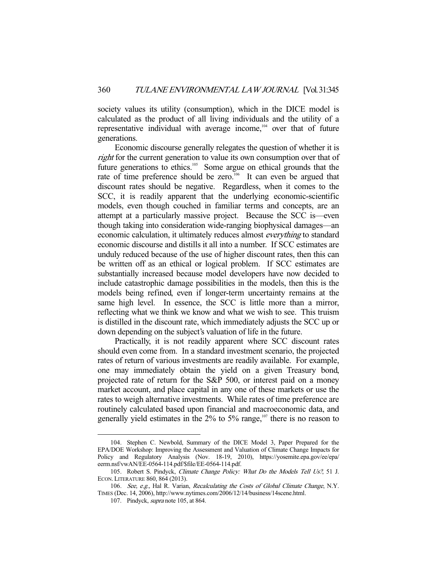society values its utility (consumption), which in the DICE model is calculated as the product of all living individuals and the utility of a representative individual with average income,<sup>104</sup> over that of future generations.

 Economic discourse generally relegates the question of whether it is right for the current generation to value its own consumption over that of future generations to ethics.<sup>105</sup> Some argue on ethical grounds that the rate of time preference should be zero.<sup>106</sup> It can even be argued that discount rates should be negative. Regardless, when it comes to the SCC, it is readily apparent that the underlying economic-scientific models, even though couched in familiar terms and concepts, are an attempt at a particularly massive project. Because the SCC is—even though taking into consideration wide-ranging biophysical damages—an economic calculation, it ultimately reduces almost everything to standard economic discourse and distills it all into a number. If SCC estimates are unduly reduced because of the use of higher discount rates, then this can be written off as an ethical or logical problem. If SCC estimates are substantially increased because model developers have now decided to include catastrophic damage possibilities in the models, then this is the models being refined, even if longer-term uncertainty remains at the same high level. In essence, the SCC is little more than a mirror, reflecting what we think we know and what we wish to see. This truism is distilled in the discount rate, which immediately adjusts the SCC up or down depending on the subject's valuation of life in the future.

 Practically, it is not readily apparent where SCC discount rates should even come from. In a standard investment scenario, the projected rates of return of various investments are readily available. For example, one may immediately obtain the yield on a given Treasury bond, projected rate of return for the S&P 500, or interest paid on a money market account, and place capital in any one of these markets or use the rates to weigh alternative investments. While rates of time preference are routinely calculated based upon financial and macroeconomic data, and generally yield estimates in the  $2\%$  to 5% range,<sup>107</sup> there is no reason to

 <sup>104.</sup> Stephen C. Newbold, Summary of the DICE Model 3, Paper Prepared for the EPA/DOE Workshop: Improving the Assessment and Valuation of Climate Change Impacts for Policy and Regulatory Analysis (Nov. 18-19, 2010), https://yosemite.epa.gov/ee/epa/ eerm.nsf/vwAN/EE-0564-114.pdf/\$file/EE-0564-114.pdf.

<sup>105.</sup> Robert S. Pindyck, Climate Change Policy: What Do the Models Tell Us?, 51 J. ECON. LITERATURE 860, 864 (2013).

<sup>106.</sup> See, e.g., Hal R. Varian, Recalculating the Costs of Global Climate Change, N.Y. TIMES (Dec. 14, 2006), http://www.nytimes.com/2006/12/14/business/14scene.html.

<sup>107.</sup> Pindyck, *supra* note 105, at 864.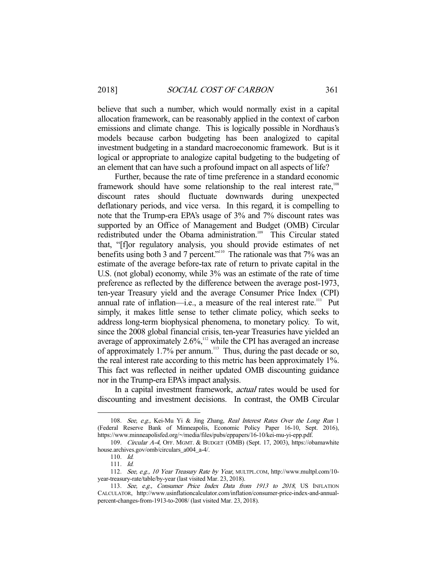believe that such a number, which would normally exist in a capital allocation framework, can be reasonably applied in the context of carbon emissions and climate change. This is logically possible in Nordhaus's models because carbon budgeting has been analogized to capital investment budgeting in a standard macroeconomic framework. But is it logical or appropriate to analogize capital budgeting to the budgeting of an element that can have such a profound impact on all aspects of life?

 Further, because the rate of time preference in a standard economic framework should have some relationship to the real interest rate,<sup>108</sup> discount rates should fluctuate downwards during unexpected deflationary periods, and vice versa. In this regard, it is compelling to note that the Trump-era EPA's usage of 3% and 7% discount rates was supported by an Office of Management and Budget (OMB) Circular redistributed under the Obama administration.<sup>109</sup> This Circular stated that, "[f]or regulatory analysis, you should provide estimates of net benefits using both 3 and 7 percent."<sup>110</sup> The rationale was that 7% was an estimate of the average before-tax rate of return to private capital in the U.S. (not global) economy, while 3% was an estimate of the rate of time preference as reflected by the difference between the average post-1973, ten-year Treasury yield and the average Consumer Price Index (CPI) annual rate of inflation—i.e., a measure of the real interest rate.<sup>111</sup> Put simply, it makes little sense to tether climate policy, which seeks to address long-term biophysical phenomena, to monetary policy. To wit, since the 2008 global financial crisis, ten-year Treasuries have yielded an average of approximately  $2.6\%$ ,<sup>112</sup> while the CPI has averaged an increase of approximately  $1.7\%$  per annum.<sup>113</sup> Thus, during the past decade or so, the real interest rate according to this metric has been approximately 1%. This fact was reflected in neither updated OMB discounting guidance nor in the Trump-era EPA's impact analysis.

In a capital investment framework, *actual* rates would be used for discounting and investment decisions. In contrast, the OMB Circular

<sup>108.</sup> See, e.g., Kei-Mu Yi & Jing Zhang, Real Interest Rates Over the Long Run 1 (Federal Reserve Bank of Minneapolis, Economic Policy Paper 16-10, Sept. 2016), https://www.minneapolisfed.org/~/media/files/pubs/eppapers/16-10/kei-mu-yi-epp.pdf.

 <sup>109.</sup> Circular A-4, OFF. MGMT. & BUDGET (OMB) (Sept. 17, 2003), https://obamawhite house.archives.gov/omb/circulars\_a004\_a-4/.

 <sup>110.</sup> Id.

 <sup>111.</sup> Id.

 <sup>112.</sup> See, e.g., 10 Year Treasury Rate by Year, MULTPL.COM, http://www.multpl.com/10 year-treasury-rate/table/by-year (last visited Mar. 23, 2018).

<sup>113.</sup> See, e.g., Consumer Price Index Data from 1913 to 2018, US INFLATION CALCULATOR, http://www.usinflationcalculator.com/inflation/consumer-price-index-and-annualpercent-changes-from-1913-to-2008/ (last visited Mar. 23, 2018).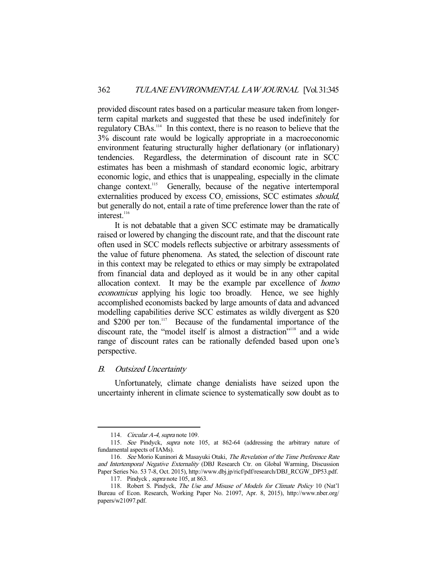provided discount rates based on a particular measure taken from longerterm capital markets and suggested that these be used indefinitely for regulatory CBAs.114 In this context, there is no reason to believe that the 3% discount rate would be logically appropriate in a macroeconomic environment featuring structurally higher deflationary (or inflationary) tendencies. Regardless, the determination of discount rate in SCC estimates has been a mishmash of standard economic logic, arbitrary economic logic, and ethics that is unappealing, especially in the climate change context.<sup>115</sup> Generally, because of the negative intertemporal externalities produced by excess  $CO<sub>2</sub>$  emissions, SCC estimates *should*, but generally do not, entail a rate of time preference lower than the rate of interest.<sup>116</sup>

 It is not debatable that a given SCC estimate may be dramatically raised or lowered by changing the discount rate, and that the discount rate often used in SCC models reflects subjective or arbitrary assessments of the value of future phenomena. As stated, the selection of discount rate in this context may be relegated to ethics or may simply be extrapolated from financial data and deployed as it would be in any other capital allocation context. It may be the example par excellence of homo economicus applying his logic too broadly. Hence, we see highly accomplished economists backed by large amounts of data and advanced modelling capabilities derive SCC estimates as wildly divergent as \$20 and  $$200$  per ton.<sup>117</sup> Because of the fundamental importance of the discount rate, the "model itself is almost a distraction"<sup>3118</sup> and a wide range of discount rates can be rationally defended based upon one's perspective.

## B. Outsized Uncertainty

-

 Unfortunately, climate change denialists have seized upon the uncertainty inherent in climate science to systematically sow doubt as to

<sup>114.</sup> Circular A-4, supra note 109.

 <sup>115.</sup> See Pindyck, supra note 105, at 862-64 (addressing the arbitrary nature of fundamental aspects of IAMs).

 <sup>116.</sup> See Morio Kuninori & Masayuki Otaki, The Revelation of the Time Preference Rate and Intertemporal Negative Externality (DBJ Research Ctr. on Global Warming, Discussion Paper Series No. 53 7-8, Oct. 2015), http://www.dbj.jp/ricf/pdf/research/DBJ\_RCGW\_DP53.pdf.

<sup>117.</sup> Pindyck, *supra* note 105, at 863.

<sup>118.</sup> Robert S. Pindyck, *The Use and Misuse of Models for Climate Policy* 10 (Nat'l Bureau of Econ. Research, Working Paper No. 21097, Apr. 8, 2015), http://www.nber.org/ papers/w21097.pdf.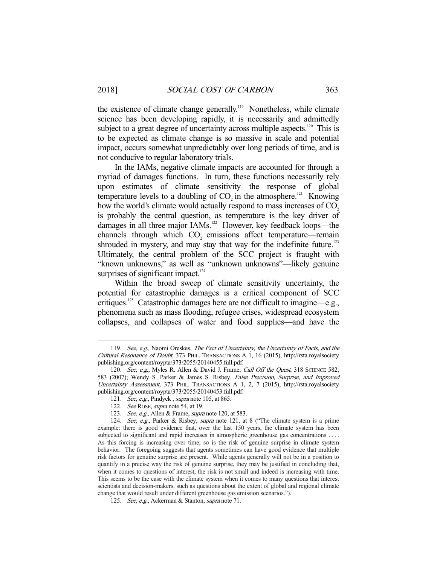the existence of climate change generally.<sup>119</sup> Nonetheless, while climate science has been developing rapidly, it is necessarily and admittedly subject to a great degree of uncertainty across multiple aspects.<sup>120</sup> This is to be expected as climate change is so massive in scale and potential impact, occurs somewhat unpredictably over long periods of time, and is not conducive to regular laboratory trials.

 In the IAMs, negative climate impacts are accounted for through a myriad of damages functions. In turn, these functions necessarily rely upon estimates of climate sensitivity—the response of global temperature levels to a doubling of  $CO$ , in the atmosphere.<sup>121</sup> Knowing how the world's climate would actually respond to mass increases of CO<sub>2</sub>. is probably the central question, as temperature is the key driver of damages in all three major IAMs.<sup>122</sup> However, key feedback loops—the channels through which CO<sub>2</sub> emissions affect temperature—remain shrouded in mystery, and may stay that way for the indefinite future.<sup>123</sup> Ultimately, the central problem of the SCC project is fraught with "known unknowns," as well as "unknown unknowns"—likely genuine surprises of significant impact. $124$ 

 Within the broad sweep of climate sensitivity uncertainty, the potential for catastrophic damages is a critical component of SCC critiques.125 Catastrophic damages here are not difficult to imagine—e.g., phenomena such as mass flooding, refugee crises, widespread ecosystem collapses, and collapses of water and food supplies—and have the

<sup>119.</sup> See, e.g., Naomi Oreskes, The Fact of Uncertainty, the Uncertainty of Facts, and the Cultural Resonance of Doubt, 373 PHIL. TRANSACTIONS A 1, 16 (2015), http://rsta.royalsociety publishing.org/content/roypta/373/2055/20140455.full.pdf.

<sup>120.</sup> See, e.g., Myles R. Allen & David J. Frame, Call Off the Quest, 318 SCIENCE 582, 583 (2007); Wendy S. Parker & James S. Risbey, False Precision, Surprise, and Improved Uncertainty Assessment, 373 PHIL. TRANSACTIONS A 1, 2, 7 (2015), http://rsta.royalsociety publishing.org/content/roypta/373/2055/20140453.full.pdf.

<sup>121.</sup> See, e.g., Pindyck, supra note 105, at 865.

<sup>122.</sup> See ROSE, supra note 54, at 19.

<sup>123.</sup> See, e.g., Allen & Frame, supra note 120, at 583.

<sup>124.</sup> See, e.g., Parker & Risbey, supra note 121, at 8 ("The climate system is a prime example: there is good evidence that, over the last 150 years, the climate system has been subjected to significant and rapid increases in atmospheric greenhouse gas concentrations .... As this forcing is increasing over time, so is the risk of genuine surprise in climate system behavior. The foregoing suggests that agents sometimes can have good evidence that multiple risk factors for genuine surprise are present. While agents generally will not be in a position to quantify in a precise way the risk of genuine surprise, they may be justified in concluding that, when it comes to questions of interest, the risk is not small and indeed is increasing with time. This seems to be the case with the climate system when it comes to many questions that interest scientists and decision-makers, such as questions about the extent of global and regional climate change that would result under different greenhouse gas emission scenarios.").

 <sup>125.</sup> See, e.g., Ackerman & Stanton, supra note 71.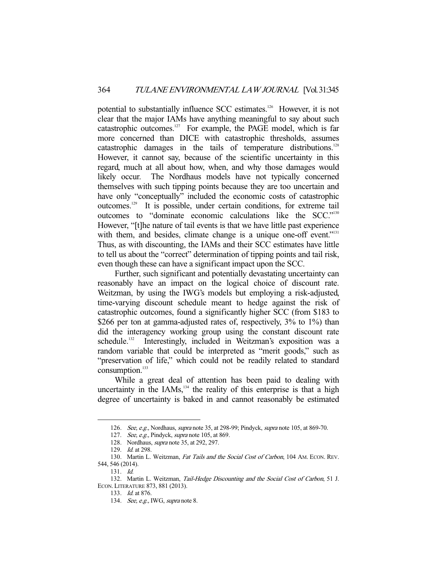potential to substantially influence SCC estimates.<sup>126</sup> However, it is not clear that the major IAMs have anything meaningful to say about such catastrophic outcomes.<sup>127</sup> For example, the PAGE model, which is far more concerned than DICE with catastrophic thresholds, assumes catastrophic damages in the tails of temperature distributions.<sup>128</sup> However, it cannot say, because of the scientific uncertainty in this regard, much at all about how, when, and why those damages would likely occur. The Nordhaus models have not typically concerned themselves with such tipping points because they are too uncertain and have only "conceptually" included the economic costs of catastrophic outcomes.129 It is possible, under certain conditions, for extreme tail outcomes to "dominate economic calculations like the SCC."<sup>130</sup> However, "[t]he nature of tail events is that we have little past experience with them, and besides, climate change is a unique one-off event."<sup>131</sup> Thus, as with discounting, the IAMs and their SCC estimates have little to tell us about the "correct" determination of tipping points and tail risk, even though these can have a significant impact upon the SCC.

 Further, such significant and potentially devastating uncertainty can reasonably have an impact on the logical choice of discount rate. Weitzman, by using the IWG's models but employing a risk-adjusted, time-varying discount schedule meant to hedge against the risk of catastrophic outcomes, found a significantly higher SCC (from \$183 to \$266 per ton at gamma-adjusted rates of, respectively, 3% to 1%) than did the interagency working group using the constant discount rate schedule.<sup>132</sup> Interestingly, included in Weitzman's exposition was a random variable that could be interpreted as "merit goods," such as "preservation of life," which could not be readily related to standard consumption.<sup>133</sup>

 While a great deal of attention has been paid to dealing with uncertainty in the IAMs, $^{134}$  the reality of this enterprise is that a high degree of uncertainty is baked in and cannot reasonably be estimated

<sup>126.</sup> See, e.g., Nordhaus, *supra* note 35, at 298-99; Pindyck, *supra* note 105, at 869-70.

<sup>127.</sup> See, e.g., Pindyck, supra note 105, at 869.

<sup>128.</sup> Nordhaus, *supra* note 35, at 292, 297.

<sup>129.</sup> *Id.* at 298.

<sup>130.</sup> Martin L. Weitzman, Fat Tails and the Social Cost of Carbon, 104 AM. ECON. REV. 544, 546 (2014).

 <sup>131.</sup> Id.

<sup>132.</sup> Martin L. Weitzman, Tail-Hedge Discounting and the Social Cost of Carbon, 51 J. ECON. LITERATURE 873, 881 (2013).

 <sup>133.</sup> Id. at 876.

 <sup>134.</sup> See, e.g., IWG, supra note 8.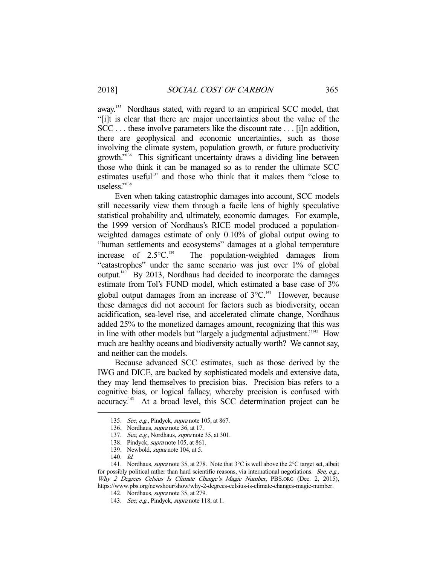away.<sup>135</sup> Nordhaus stated, with regard to an empirical SCC model, that "[i]t is clear that there are major uncertainties about the value of the SCC . . . these involve parameters like the discount rate . . . [i]n addition, there are geophysical and economic uncertainties, such as those involving the climate system, population growth, or future productivity growth."<sup>136</sup> This significant uncertainty draws a dividing line between those who think it can be managed so as to render the ultimate SCC estimates useful<sup>137</sup> and those who think that it makes them "close to useless."138

 Even when taking catastrophic damages into account, SCC models still necessarily view them through a facile lens of highly speculative statistical probability and, ultimately, economic damages. For example, the 1999 version of Nordhaus's RICE model produced a populationweighted damages estimate of only 0.10% of global output owing to "human settlements and ecosystems" damages at a global temperature increase of  $2.5^{\circ}C^{139}$  The population-weighted damages from "catastrophes" under the same scenario was just over 1% of global output.140 By 2013, Nordhaus had decided to incorporate the damages estimate from Tol's FUND model, which estimated a base case of 3% global output damages from an increase of  $3^{\circ}C$ .<sup>141</sup> However, because these damages did not account for factors such as biodiversity, ocean acidification, sea-level rise, and accelerated climate change, Nordhaus added 25% to the monetized damages amount, recognizing that this was in line with other models but "largely a judgmental adjustment."<sup>142</sup> How much are healthy oceans and biodiversity actually worth? We cannot say, and neither can the models.

 Because advanced SCC estimates, such as those derived by the IWG and DICE, are backed by sophisticated models and extensive data, they may lend themselves to precision bias. Precision bias refers to a cognitive bias, or logical fallacy, whereby precision is confused with accuracy.143 At a broad level, this SCC determination project can be

 <sup>135.</sup> See, e.g., Pindyck, supra note 105, at 867.

<sup>136.</sup> Nordhaus, *supra* note 36, at 17.

<sup>137.</sup> See, e.g., Nordhaus, supra note 35, at 301.

 <sup>138.</sup> Pindyck, supra note 105, at 861.

 <sup>139.</sup> Newbold, supra note 104, at 5.

 <sup>140.</sup> Id.

<sup>141.</sup> Nordhaus, *supra* note 35, at 278. Note that 3°C is well above the 2°C target set, albeit for possibly political rather than hard scientific reasons, via international negotiations. See, e.g., Why 2 Degrees Celsius Is Climate Change's Magic Number, PBS.ORG (Dec. 2, 2015), https://www.pbs.org/newshour/show/why-2-degrees-celsius-is-climate-changes-magic-number.

 <sup>142.</sup> Nordhaus, supra note 35, at 279.

<sup>143.</sup> See, e.g., Pindyck, supra note 118, at 1.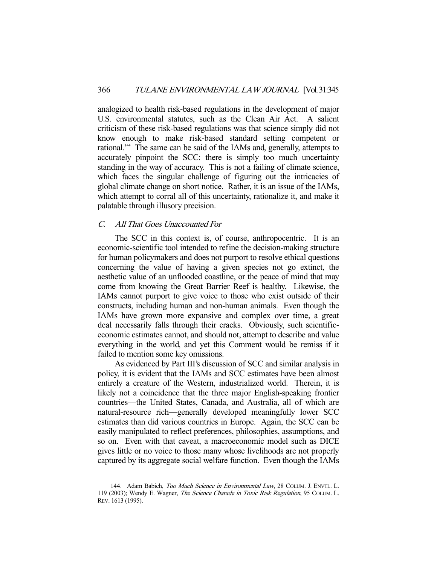analogized to health risk-based regulations in the development of major U.S. environmental statutes, such as the Clean Air Act. A salient criticism of these risk-based regulations was that science simply did not know enough to make risk-based standard setting competent or rational.<sup>144</sup> The same can be said of the IAMs and, generally, attempts to accurately pinpoint the SCC: there is simply too much uncertainty standing in the way of accuracy. This is not a failing of climate science, which faces the singular challenge of figuring out the intricacies of global climate change on short notice. Rather, it is an issue of the IAMs, which attempt to corral all of this uncertainty, rationalize it, and make it palatable through illusory precision.

# C. All That Goes Unaccounted For

-

 The SCC in this context is, of course, anthropocentric. It is an economic-scientific tool intended to refine the decision-making structure for human policymakers and does not purport to resolve ethical questions concerning the value of having a given species not go extinct, the aesthetic value of an unflooded coastline, or the peace of mind that may come from knowing the Great Barrier Reef is healthy. Likewise, the IAMs cannot purport to give voice to those who exist outside of their constructs, including human and non-human animals. Even though the IAMs have grown more expansive and complex over time, a great deal necessarily falls through their cracks. Obviously, such scientificeconomic estimates cannot, and should not, attempt to describe and value everything in the world, and yet this Comment would be remiss if it failed to mention some key omissions.

 As evidenced by Part III's discussion of SCC and similar analysis in policy, it is evident that the IAMs and SCC estimates have been almost entirely a creature of the Western, industrialized world. Therein, it is likely not a coincidence that the three major English-speaking frontier countries—the United States, Canada, and Australia, all of which are natural-resource rich—generally developed meaningfully lower SCC estimates than did various countries in Europe. Again, the SCC can be easily manipulated to reflect preferences, philosophies, assumptions, and so on. Even with that caveat, a macroeconomic model such as DICE gives little or no voice to those many whose livelihoods are not properly captured by its aggregate social welfare function. Even though the IAMs

<sup>144.</sup> Adam Babich, Too Much Science in Environmental Law, 28 COLUM. J. ENVTL. L. 119 (2003); Wendy E. Wagner, The Science Charade in Toxic Risk Regulation, 95 COLUM. L. REV. 1613 (1995).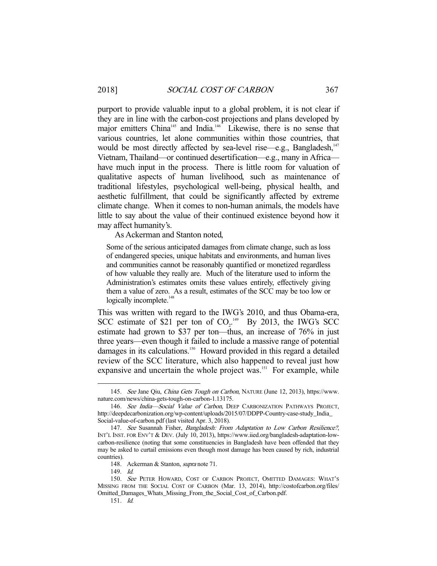purport to provide valuable input to a global problem, it is not clear if they are in line with the carbon-cost projections and plans developed by major emitters China<sup>145</sup> and India.<sup>146</sup> Likewise, there is no sense that various countries, let alone communities within those countries, that would be most directly affected by sea-level rise—e.g., Bangladesh, $147$ Vietnam, Thailand—or continued desertification—e.g., many in Africa have much input in the process. There is little room for valuation of qualitative aspects of human livelihood, such as maintenance of traditional lifestyles, psychological well-being, physical health, and aesthetic fulfillment, that could be significantly affected by extreme climate change. When it comes to non-human animals, the models have little to say about the value of their continued existence beyond how it may affect humanity's.

As Ackerman and Stanton noted,

Some of the serious anticipated damages from climate change, such as loss of endangered species, unique habitats and environments, and human lives and communities cannot be reasonably quantified or monetized regardless of how valuable they really are. Much of the literature used to inform the Administration's estimates omits these values entirely, effectively giving them a value of zero. As a result, estimates of the SCC may be too low or logically incomplete.<sup>148</sup>

This was written with regard to the IWG's 2010, and thus Obama-era, SCC estimate of \$21 per ton of  $CO<sub>2</sub>$ .<sup>149</sup> By 2013, the IWG's SCC estimate had grown to \$37 per ton—thus, an increase of 76% in just three years—even though it failed to include a massive range of potential damages in its calculations.<sup>150</sup> Howard provided in this regard a detailed review of the SCC literature, which also happened to reveal just how expansive and uncertain the whole project was.<sup>151</sup> For example, while

149. Id.

 <sup>145.</sup> See Jane Qiu, China Gets Tough on Carbon, NATURE (June 12, 2013), https://www. nature.com/news/china-gets-tough-on-carbon-1.13175.

<sup>146.</sup> See India-Social Value of Carbon, DEEP CARBONIZATION PATHWAYS PROJECT, http://deepdecarbonization.org/wp-content/uploads/2015/07/DDPP-Country-case-study\_India\_ Social-value-of-carbon.pdf (last visited Apr. 3, 2018).

<sup>147.</sup> See Susannah Fisher, Bangladesh: From Adaptation to Low Carbon Resilience?, INT'L INST. FOR ENV'T & DEV. (July 10, 2013), https://www.iied.org/bangladesh-adaptation-lowcarbon-resilience (noting that some constituencies in Bangladesh have been offended that they may be asked to curtail emissions even though most damage has been caused by rich, industrial countries).

 <sup>148.</sup> Ackerman & Stanton, supra note 71.

<sup>150.</sup> See PETER HOWARD, COST OF CARBON PROJECT, OMITTED DAMAGES: WHAT'S MISSING FROM THE SOCIAL COST OF CARBON (Mar. 13, 2014), http://costofcarbon.org/files/ Omitted\_Damages\_Whats\_Missing\_From\_the\_Social\_Cost\_of\_Carbon.pdf.

 <sup>151.</sup> Id.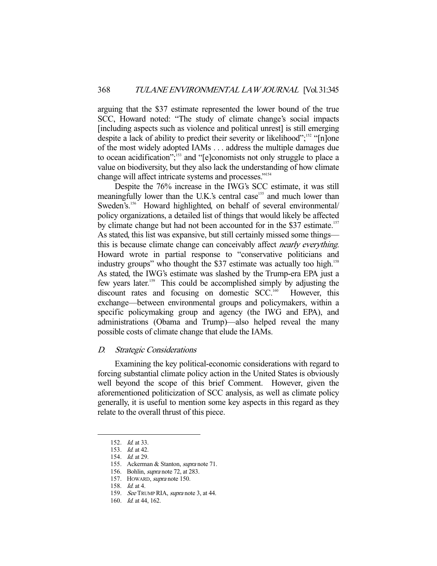arguing that the \$37 estimate represented the lower bound of the true SCC, Howard noted: "The study of climate change's social impacts [including aspects such as violence and political unrest] is still emerging despite a lack of ability to predict their severity or likelihood";<sup>152</sup> "[n]one of the most widely adopted IAMs . . . address the multiple damages due to ocean acidification";<sup>153</sup> and "[e]conomists not only struggle to place a value on biodiversity, but they also lack the understanding of how climate change will affect intricate systems and processes."<sup>154</sup>

 Despite the 76% increase in the IWG's SCC estimate, it was still meaningfully lower than the U.K.'s central case<sup>155</sup> and much lower than Sweden's.<sup>156</sup> Howard highlighted, on behalf of several environmental/ policy organizations, a detailed list of things that would likely be affected by climate change but had not been accounted for in the \$37 estimate.<sup>157</sup> As stated, this list was expansive, but still certainly missed some things this is because climate change can conceivably affect *nearly everything*. Howard wrote in partial response to "conservative politicians and industry groups" who thought the \$37 estimate was actually too high.<sup>158</sup> As stated, the IWG's estimate was slashed by the Trump-era EPA just a few years later.159 This could be accomplished simply by adjusting the discount rates and focusing on domestic SCC.<sup>160</sup> However, this exchange—between environmental groups and policymakers, within a specific policymaking group and agency (the IWG and EPA), and administrations (Obama and Trump)—also helped reveal the many possible costs of climate change that elude the IAMs.

## D. Strategic Considerations

 Examining the key political-economic considerations with regard to forcing substantial climate policy action in the United States is obviously well beyond the scope of this brief Comment. However, given the aforementioned politicization of SCC analysis, as well as climate policy generally, it is useful to mention some key aspects in this regard as they relate to the overall thrust of this piece.

 <sup>152.</sup> Id. at 33.

 <sup>153.</sup> Id. at 42.

 <sup>154.</sup> Id. at 29.

 <sup>155.</sup> Ackerman & Stanton, supra note 71.

 <sup>156.</sup> Bohlin, supra note 72, at 283.

 <sup>157.</sup> HOWARD, supra note 150.

 <sup>158.</sup> Id. at 4.

<sup>159.</sup> See TRUMP RIA, supra note 3, at 44.

 <sup>160.</sup> Id. at 44, 162.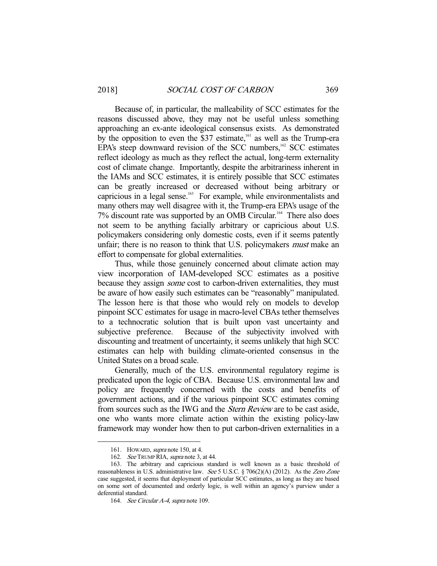Because of, in particular, the malleability of SCC estimates for the reasons discussed above, they may not be useful unless something approaching an ex-ante ideological consensus exists. As demonstrated by the opposition to even the  $\frac{837}{327}$  estimate,<sup>161</sup> as well as the Trump-era EPA's steep downward revision of the SCC numbers, $162$  SCC estimates reflect ideology as much as they reflect the actual, long-term externality cost of climate change. Importantly, despite the arbitrariness inherent in the IAMs and SCC estimates, it is entirely possible that SCC estimates can be greatly increased or decreased without being arbitrary or capricious in a legal sense.<sup>163</sup> For example, while environmentalists and many others may well disagree with it, the Trump-era EPA's usage of the 7% discount rate was supported by an OMB Circular.164 There also does not seem to be anything facially arbitrary or capricious about U.S. policymakers considering only domestic costs, even if it seems patently unfair; there is no reason to think that U.S. policymakers *must* make an effort to compensate for global externalities.

 Thus, while those genuinely concerned about climate action may view incorporation of IAM-developed SCC estimates as a positive because they assign *some* cost to carbon-driven externalities, they must be aware of how easily such estimates can be "reasonably" manipulated. The lesson here is that those who would rely on models to develop pinpoint SCC estimates for usage in macro-level CBAs tether themselves to a technocratic solution that is built upon vast uncertainty and subjective preference. Because of the subjectivity involved with discounting and treatment of uncertainty, it seems unlikely that high SCC estimates can help with building climate-oriented consensus in the United States on a broad scale.

 Generally, much of the U.S. environmental regulatory regime is predicated upon the logic of CBA. Because U.S. environmental law and policy are frequently concerned with the costs and benefits of government actions, and if the various pinpoint SCC estimates coming from sources such as the IWG and the Stern Review are to be cast aside, one who wants more climate action within the existing policy-law framework may wonder how then to put carbon-driven externalities in a

 <sup>161.</sup> HOWARD, supra note 150, at 4.

 <sup>162.</sup> See TRUMP RIA, supra note 3, at 44.

 <sup>163.</sup> The arbitrary and capricious standard is well known as a basic threshold of reasonableness in U.S. administrative law. See 5 U.S.C. § 706(2)(A) (2012). As the Zero Zone case suggested, it seems that deployment of particular SCC estimates, as long as they are based on some sort of documented and orderly logic, is well within an agency's purview under a deferential standard.

<sup>164.</sup> See Circular A-4, supra note 109.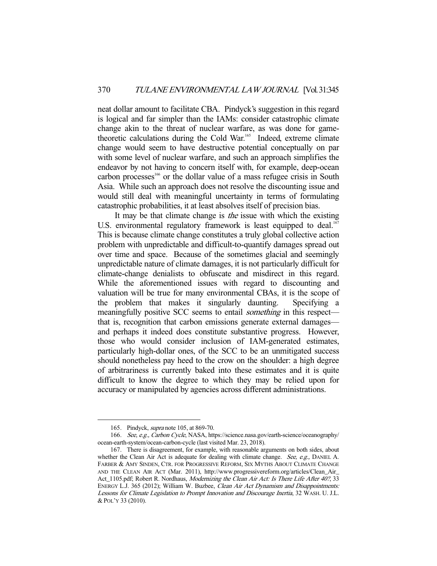neat dollar amount to facilitate CBA. Pindyck's suggestion in this regard is logical and far simpler than the IAMs: consider catastrophic climate change akin to the threat of nuclear warfare, as was done for gametheoretic calculations during the Cold War.<sup>165</sup> Indeed, extreme climate change would seem to have destructive potential conceptually on par with some level of nuclear warfare, and such an approach simplifies the endeavor by not having to concern itself with, for example, deep-ocean carbon processes<sup>166</sup> or the dollar value of a mass refugee crisis in South Asia. While such an approach does not resolve the discounting issue and would still deal with meaningful uncertainty in terms of formulating catastrophic probabilities, it at least absolves itself of precision bias.

It may be that climate change is *the* issue with which the existing U.S. environmental regulatory framework is least equipped to deal.<sup>167</sup> This is because climate change constitutes a truly global collective action problem with unpredictable and difficult-to-quantify damages spread out over time and space. Because of the sometimes glacial and seemingly unpredictable nature of climate damages, it is not particularly difficult for climate-change denialists to obfuscate and misdirect in this regard. While the aforementioned issues with regard to discounting and valuation will be true for many environmental CBAs, it is the scope of the problem that makes it singularly daunting. Specifying a meaningfully positive SCC seems to entail *something* in this respect that is, recognition that carbon emissions generate external damages and perhaps it indeed does constitute substantive progress. However, those who would consider inclusion of IAM-generated estimates, particularly high-dollar ones, of the SCC to be an unmitigated success should nonetheless pay heed to the crow on the shoulder: a high degree of arbitrariness is currently baked into these estimates and it is quite difficult to know the degree to which they may be relied upon for accuracy or manipulated by agencies across different administrations.

 <sup>165.</sup> Pindyck, supra note 105, at 869-70.

 <sup>166.</sup> See, e.g., Carbon Cycle, NASA, https://science.nasa.gov/earth-science/oceanography/ ocean-earth-system/ocean-carbon-cycle (last visited Mar. 23, 2018).

 <sup>167.</sup> There is disagreement, for example, with reasonable arguments on both sides, about whether the Clean Air Act is adequate for dealing with climate change. See, e.g., DANIEL A. FARBER & AMY SINDEN, CTR. FOR PROGRESSIVE REFORM, SIX MYTHS ABOUT CLIMATE CHANGE AND THE CLEAN AIR ACT (Mar. 2011), http://www.progressivereform.org/articles/Clean\_Air\_ Act\_1105.pdf; Robert R. Nordhaus, Modernizing the Clean Air Act: Is There Life After 40?, 33 ENERGY L.J. 365 (2012); William W. Buzbee, Clean Air Act Dynamism and Disappointments: Lessons for Climate Legislation to Prompt Innovation and Discourage Inertia, 32 WASH. U. J.L. & POL'Y 33 (2010).